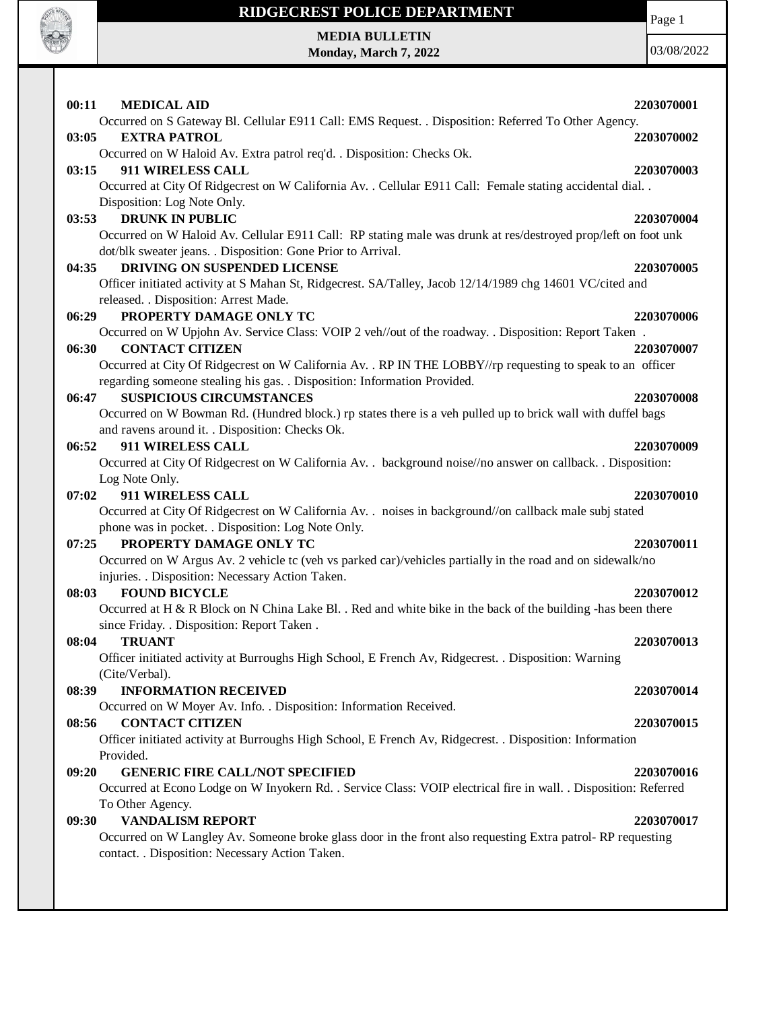

Page 1

**MEDIA BULLETIN Monday, March 7, 2022**

| 00:11<br><b>MEDICAL AID</b>                                                                                      | 2203070001 |
|------------------------------------------------------------------------------------------------------------------|------------|
| Occurred on S Gateway Bl. Cellular E911 Call: EMS Request. . Disposition: Referred To Other Agency.              |            |
| 03:05<br><b>EXTRA PATROL</b>                                                                                     | 2203070002 |
| Occurred on W Haloid Av. Extra patrol req'd. . Disposition: Checks Ok.                                           |            |
| 911 WIRELESS CALL<br>03:15                                                                                       | 2203070003 |
| Occurred at City Of Ridgecrest on W California Av. . Cellular E911 Call: Female stating accidental dial. .       |            |
| Disposition: Log Note Only.                                                                                      |            |
| <b>DRUNK IN PUBLIC</b><br>03:53                                                                                  | 2203070004 |
| Occurred on W Haloid Av. Cellular E911 Call: RP stating male was drunk at res/destroyed prop/left on foot unk    |            |
| dot/blk sweater jeans. . Disposition: Gone Prior to Arrival.                                                     |            |
| DRIVING ON SUSPENDED LICENSE<br>04:35                                                                            | 2203070005 |
| Officer initiated activity at S Mahan St, Ridgecrest. SA/Talley, Jacob 12/14/1989 chg 14601 VC/cited and         |            |
| released. . Disposition: Arrest Made.                                                                            |            |
| 06:29<br>PROPERTY DAMAGE ONLY TC                                                                                 | 2203070006 |
| Occurred on W Upjohn Av. Service Class: VOIP 2 veh//out of the roadway. . Disposition: Report Taken.             |            |
| <b>CONTACT CITIZEN</b><br>06:30                                                                                  | 2203070007 |
| Occurred at City Of Ridgecrest on W California Av. . RP IN THE LOBBY//rp requesting to speak to an officer       |            |
| regarding someone stealing his gas. . Disposition: Information Provided.                                         |            |
| <b>SUSPICIOUS CIRCUMSTANCES</b><br>06:47                                                                         | 2203070008 |
| Occurred on W Bowman Rd. (Hundred block.) rp states there is a veh pulled up to brick wall with duffel bags      |            |
| and ravens around it. . Disposition: Checks Ok.                                                                  |            |
| 911 WIRELESS CALL<br>06:52                                                                                       | 2203070009 |
| Occurred at City Of Ridgecrest on W California Av. . background noise//no answer on callback. . Disposition:     |            |
| Log Note Only.                                                                                                   |            |
| 07:02<br>911 WIRELESS CALL                                                                                       | 2203070010 |
| Occurred at City Of Ridgecrest on W California Av. . noises in background//on callback male subj stated          |            |
| phone was in pocket. . Disposition: Log Note Only.                                                               |            |
| 07:25<br>PROPERTY DAMAGE ONLY TC                                                                                 | 2203070011 |
| Occurred on W Argus Av. 2 vehicle tc (veh vs parked car)/vehicles partially in the road and on sidewalk/no       |            |
| injuries. . Disposition: Necessary Action Taken.                                                                 |            |
| <b>FOUND BICYCLE</b><br>08:03                                                                                    | 2203070012 |
| Occurred at H & R Block on N China Lake Bl. . Red and white bike in the back of the building -has been there     |            |
| since Friday. . Disposition: Report Taken.                                                                       |            |
| <b>TRUANT</b><br>08:04                                                                                           | 2203070013 |
| Officer initiated activity at Burroughs High School, E French Av, Ridgecrest. . Disposition: Warning             |            |
| (Cite/Verbal).                                                                                                   |            |
| <b>INFORMATION RECEIVED</b><br>08:39                                                                             | 2203070014 |
| Occurred on W Moyer Av. Info. . Disposition: Information Received.                                               |            |
| <b>CONTACT CITIZEN</b><br>08:56                                                                                  | 2203070015 |
| Officer initiated activity at Burroughs High School, E French Av, Ridgecrest. . Disposition: Information         |            |
| Provided.                                                                                                        |            |
| <b>GENERIC FIRE CALL/NOT SPECIFIED</b><br>09:20                                                                  | 2203070016 |
| Occurred at Econo Lodge on W Inyokern Rd. . Service Class: VOIP electrical fire in wall. . Disposition: Referred |            |
| To Other Agency.                                                                                                 |            |
| <b>VANDALISM REPORT</b><br>09:30                                                                                 | 2203070017 |
| Occurred on W Langley Av. Someone broke glass door in the front also requesting Extra patrol- RP requesting      |            |
| contact. . Disposition: Necessary Action Taken.                                                                  |            |
|                                                                                                                  |            |
|                                                                                                                  |            |
|                                                                                                                  |            |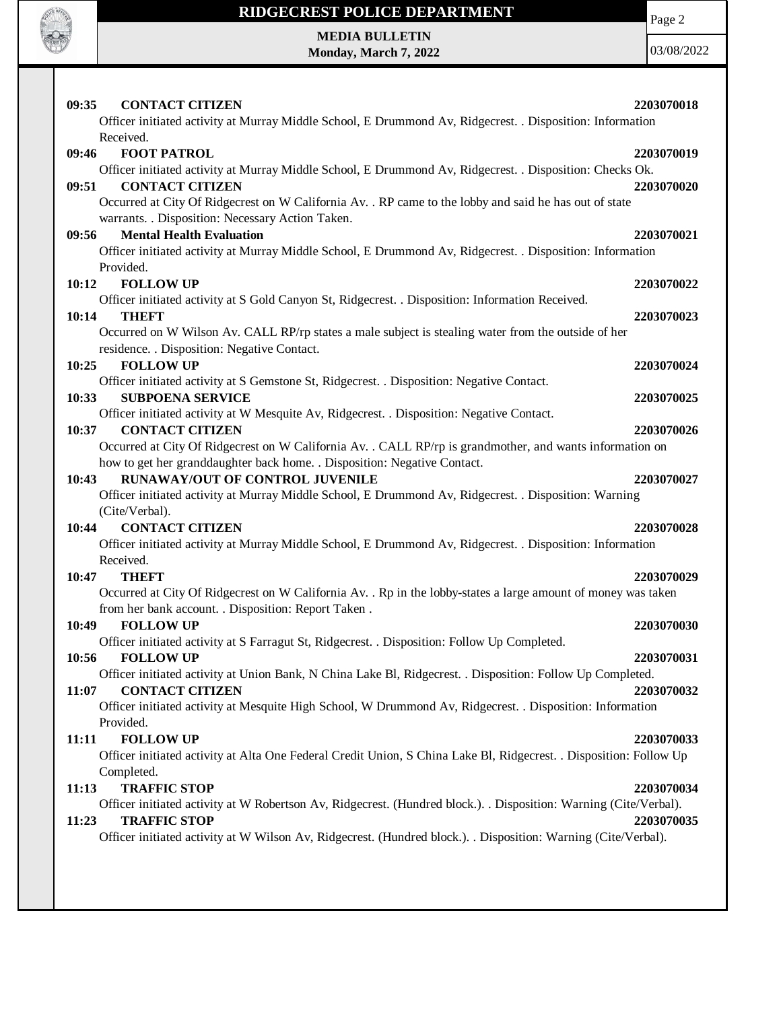

Page 2

**MEDIA BULLETIN Monday, March 7, 2022**

| 09:35<br><b>CONTACT CITIZEN</b><br>Officer initiated activity at Murray Middle School, E Drummond Av, Ridgecrest. . Disposition: Information | 2203070018 |
|----------------------------------------------------------------------------------------------------------------------------------------------|------------|
| Received.                                                                                                                                    |            |
| 09:46<br><b>FOOT PATROL</b>                                                                                                                  | 2203070019 |
| Officer initiated activity at Murray Middle School, E Drummond Av, Ridgecrest. . Disposition: Checks Ok.<br><b>CONTACT CITIZEN</b><br>09:51  | 2203070020 |
| Occurred at City Of Ridgecrest on W California Av. . RP came to the lobby and said he has out of state                                       |            |
| warrants. . Disposition: Necessary Action Taken.                                                                                             |            |
| <b>Mental Health Evaluation</b><br>09:56                                                                                                     | 2203070021 |
| Officer initiated activity at Murray Middle School, E Drummond Av, Ridgecrest. . Disposition: Information                                    |            |
| Provided.                                                                                                                                    |            |
| 10:12<br><b>FOLLOW UP</b>                                                                                                                    | 2203070022 |
| Officer initiated activity at S Gold Canyon St, Ridgecrest. . Disposition: Information Received.                                             |            |
| 10:14<br><b>THEFT</b>                                                                                                                        | 2203070023 |
| Occurred on W Wilson Av. CALL RP/rp states a male subject is stealing water from the outside of her                                          |            |
| residence. . Disposition: Negative Contact.<br>10:25<br><b>FOLLOW UP</b>                                                                     | 2203070024 |
| Officer initiated activity at S Gemstone St, Ridgecrest. . Disposition: Negative Contact.                                                    |            |
| 10:33<br><b>SUBPOENA SERVICE</b>                                                                                                             | 2203070025 |
| Officer initiated activity at W Mesquite Av, Ridgecrest. . Disposition: Negative Contact.                                                    |            |
| <b>CONTACT CITIZEN</b><br>10:37                                                                                                              | 2203070026 |
| Occurred at City Of Ridgecrest on W California Av. . CALL RP/rp is grandmother, and wants information on                                     |            |
| how to get her granddaughter back home. . Disposition: Negative Contact.                                                                     |            |
| <b>RUNAWAY/OUT OF CONTROL JUVENILE</b><br>10:43                                                                                              | 2203070027 |
| Officer initiated activity at Murray Middle School, E Drummond Av, Ridgecrest. . Disposition: Warning<br>(Cite/Verbal).                      |            |
|                                                                                                                                              |            |
| 10:44<br><b>CONTACT CITIZEN</b>                                                                                                              | 2203070028 |
| Officer initiated activity at Murray Middle School, E Drummond Av, Ridgecrest. . Disposition: Information                                    |            |
| Received.                                                                                                                                    |            |
| 10:47<br>THEFT                                                                                                                               | 2203070029 |
| Occurred at City Of Ridgecrest on W California Av. . Rp in the lobby-states a large amount of money was taken                                |            |
| from her bank account. . Disposition: Report Taken.                                                                                          |            |
| 10:49<br><b>FOLLOW UP</b>                                                                                                                    | 2203070030 |
| Officer initiated activity at S Farragut St, Ridgecrest. . Disposition: Follow Up Completed.                                                 |            |
| 10:56<br><b>FOLLOW UP</b>                                                                                                                    | 2203070031 |
| Officer initiated activity at Union Bank, N China Lake Bl, Ridgecrest. . Disposition: Follow Up Completed.                                   |            |
| 11:07<br><b>CONTACT CITIZEN</b>                                                                                                              | 2203070032 |
| Officer initiated activity at Mesquite High School, W Drummond Av, Ridgecrest. . Disposition: Information                                    |            |
| Provided.<br><b>FOLLOW UP</b><br>11:11                                                                                                       |            |
| Officer initiated activity at Alta One Federal Credit Union, S China Lake Bl, Ridgecrest. . Disposition: Follow Up                           | 2203070033 |
| Completed.                                                                                                                                   |            |
| <b>TRAFFIC STOP</b><br>11:13                                                                                                                 | 2203070034 |
| Officer initiated activity at W Robertson Av, Ridgecrest. (Hundred block.). . Disposition: Warning (Cite/Verbal).                            |            |
| <b>TRAFFIC STOP</b><br>11:23                                                                                                                 | 2203070035 |
| Officer initiated activity at W Wilson Av, Ridgecrest. (Hundred block.). Disposition: Warning (Cite/Verbal).                                 |            |
|                                                                                                                                              |            |
|                                                                                                                                              |            |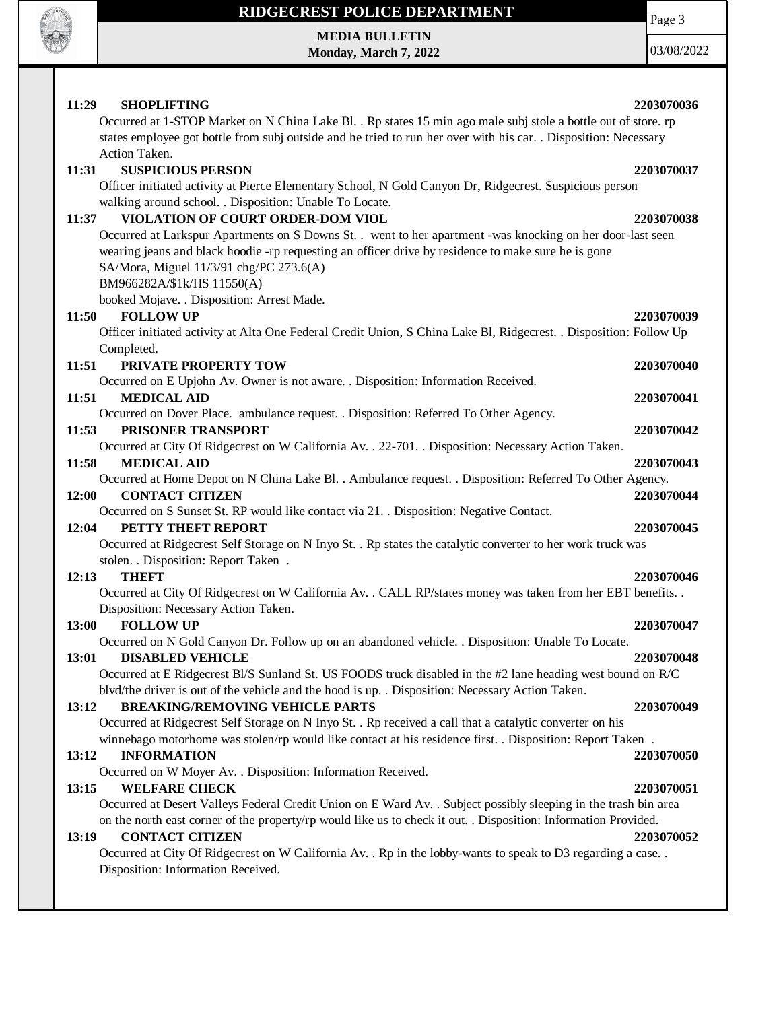

**MEDIA BULLETIN Monday, March 7, 2022**

03/08/2022

Page 3

| 11:29<br><b>SHOPLIFTING</b>                                                                                          | 2203070036 |
|----------------------------------------------------------------------------------------------------------------------|------------|
| Occurred at 1-STOP Market on N China Lake Bl. . Rp states 15 min ago male subj stole a bottle out of store. rp       |            |
| states employee got bottle from subj outside and he tried to run her over with his car. . Disposition: Necessary     |            |
| Action Taken.                                                                                                        |            |
| <b>SUSPICIOUS PERSON</b><br>11:31                                                                                    | 2203070037 |
| Officer initiated activity at Pierce Elementary School, N Gold Canyon Dr, Ridgecrest. Suspicious person              |            |
| walking around school. . Disposition: Unable To Locate.                                                              |            |
| VIOLATION OF COURT ORDER-DOM VIOL<br>11:37                                                                           | 2203070038 |
| Occurred at Larkspur Apartments on S Downs St. . went to her apartment -was knocking on her door-last seen           |            |
| wearing jeans and black hoodie -rp requesting an officer drive by residence to make sure he is gone                  |            |
| SA/Mora, Miguel 11/3/91 chg/PC 273.6(A)                                                                              |            |
| BM966282A/\$1k/HS 11550(A)                                                                                           |            |
| booked Mojave. . Disposition: Arrest Made.                                                                           |            |
| <b>FOLLOW UP</b><br>11:50                                                                                            | 2203070039 |
| Officer initiated activity at Alta One Federal Credit Union, S China Lake Bl, Ridgecrest. . Disposition: Follow Up   |            |
| Completed.                                                                                                           |            |
| 11:51<br>PRIVATE PROPERTY TOW                                                                                        | 2203070040 |
| Occurred on E Upjohn Av. Owner is not aware. . Disposition: Information Received.                                    |            |
| 11:51<br><b>MEDICAL AID</b>                                                                                          | 2203070041 |
| Occurred on Dover Place. ambulance request. . Disposition: Referred To Other Agency.                                 |            |
| PRISONER TRANSPORT<br>11:53                                                                                          | 2203070042 |
| Occurred at City Of Ridgecrest on W California Av. . 22-701. . Disposition: Necessary Action Taken.                  |            |
| <b>MEDICAL AID</b><br>11:58                                                                                          | 2203070043 |
| Occurred at Home Depot on N China Lake Bl. . Ambulance request. . Disposition: Referred To Other Agency.             |            |
| <b>CONTACT CITIZEN</b><br>12:00                                                                                      | 2203070044 |
| Occurred on S Sunset St. RP would like contact via 21. . Disposition: Negative Contact.<br>PETTY THEFT REPORT        |            |
| 12:04<br>Occurred at Ridgecrest Self Storage on N Inyo St. . Rp states the catalytic converter to her work truck was | 2203070045 |
| stolen. . Disposition: Report Taken.                                                                                 |            |
| 12:13<br><b>THEFT</b>                                                                                                | 2203070046 |
| Occurred at City Of Ridgecrest on W California Av. . CALL RP/states money was taken from her EBT benefits. .         |            |
| Disposition: Necessary Action Taken.                                                                                 |            |
| 13:00<br><b>FOLLOW UP</b>                                                                                            | 2203070047 |
| Occurred on N Gold Canyon Dr. Follow up on an abandoned vehicle. . Disposition: Unable To Locate.                    |            |
| <b>DISABLED VEHICLE</b><br>13:01                                                                                     | 2203070048 |
| Occurred at E Ridgecrest Bl/S Sunland St. US FOODS truck disabled in the #2 lane heading west bound on R/C           |            |
| blvd/the driver is out of the vehicle and the hood is up. . Disposition: Necessary Action Taken.                     |            |
| 13:12<br><b>BREAKING/REMOVING VEHICLE PARTS</b>                                                                      | 2203070049 |
| Occurred at Ridgecrest Self Storage on N Inyo St. . Rp received a call that a catalytic converter on his             |            |
| winnebago motorhome was stolen/rp would like contact at his residence first. . Disposition: Report Taken .           |            |
| 13:12<br><b>INFORMATION</b>                                                                                          | 2203070050 |
| Occurred on W Moyer Av. . Disposition: Information Received.                                                         |            |
| <b>WELFARE CHECK</b><br>13:15                                                                                        | 2203070051 |
| Occurred at Desert Valleys Federal Credit Union on E Ward Av. . Subject possibly sleeping in the trash bin area      |            |
| on the north east corner of the property/rp would like us to check it out. . Disposition: Information Provided.      |            |
| 13:19<br><b>CONTACT CITIZEN</b>                                                                                      | 2203070052 |
| Occurred at City Of Ridgecrest on W California Av. . Rp in the lobby-wants to speak to D3 regarding a case. .        |            |
| Disposition: Information Received.                                                                                   |            |
|                                                                                                                      |            |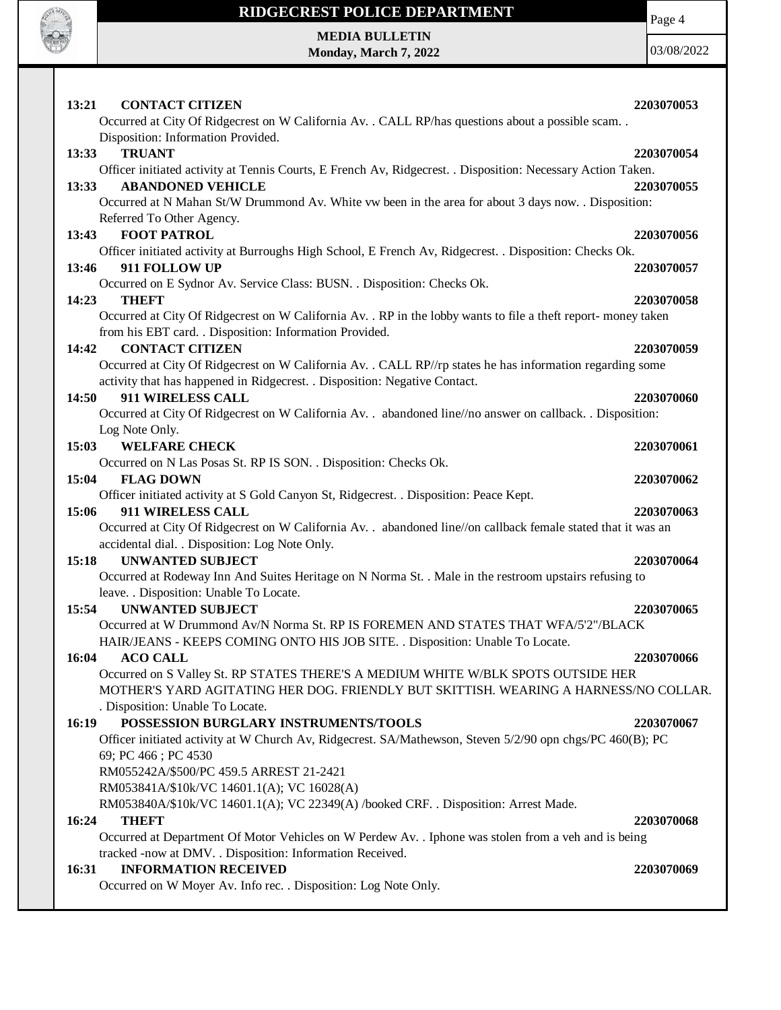

Page 4

**MEDIA BULLETIN Monday, March 7, 2022**

| 13:21 | <b>CONTACT CITIZEN</b>                                                                                         | 2203070053 |
|-------|----------------------------------------------------------------------------------------------------------------|------------|
|       | Occurred at City Of Ridgecrest on W California Av. . CALL RP/has questions about a possible scam               |            |
|       | Disposition: Information Provided.                                                                             |            |
| 13:33 | <b>TRUANT</b>                                                                                                  | 2203070054 |
|       | Officer initiated activity at Tennis Courts, E French Av, Ridgecrest. . Disposition: Necessary Action Taken.   |            |
| 13:33 | <b>ABANDONED VEHICLE</b>                                                                                       | 2203070055 |
|       | Occurred at N Mahan St/W Drummond Av. White vw been in the area for about 3 days now. . Disposition:           |            |
|       | Referred To Other Agency.                                                                                      |            |
| 13:43 | <b>FOOT PATROL</b>                                                                                             | 2203070056 |
|       | Officer initiated activity at Burroughs High School, E French Av, Ridgecrest. . Disposition: Checks Ok.        |            |
| 13:46 | 911 FOLLOW UP                                                                                                  | 2203070057 |
| 14:23 | Occurred on E Sydnor Av. Service Class: BUSN. . Disposition: Checks Ok.<br><b>THEFT</b>                        |            |
|       | Occurred at City Of Ridgecrest on W California Av. . RP in the lobby wants to file a theft report- money taken | 2203070058 |
|       | from his EBT card. . Disposition: Information Provided.                                                        |            |
| 14:42 | <b>CONTACT CITIZEN</b>                                                                                         | 2203070059 |
|       | Occurred at City Of Ridgecrest on W California Av. . CALL RP//rp states he has information regarding some      |            |
|       | activity that has happened in Ridgecrest. . Disposition: Negative Contact.                                     |            |
| 14:50 | 911 WIRELESS CALL                                                                                              | 2203070060 |
|       | Occurred at City Of Ridgecrest on W California Av. . abandoned line//no answer on callback. . Disposition:     |            |
|       | Log Note Only.                                                                                                 |            |
| 15:03 | <b>WELFARE CHECK</b>                                                                                           | 2203070061 |
|       | Occurred on N Las Posas St. RP IS SON. . Disposition: Checks Ok.                                               |            |
| 15:04 | <b>FLAG DOWN</b>                                                                                               | 2203070062 |
|       | Officer initiated activity at S Gold Canyon St, Ridgecrest. . Disposition: Peace Kept.                         |            |
| 15:06 | 911 WIRELESS CALL                                                                                              | 2203070063 |
|       | Occurred at City Of Ridgecrest on W California Av. . abandoned line//on callback female stated that it was an  |            |
|       | accidental dial. . Disposition: Log Note Only.                                                                 |            |
| 15:18 | <b>UNWANTED SUBJECT</b>                                                                                        | 2203070064 |
|       | Occurred at Rodeway Inn And Suites Heritage on N Norma St. . Male in the restroom upstairs refusing to         |            |
| 15:54 | leave. . Disposition: Unable To Locate.<br><b>UNWANTED SUBJECT</b>                                             | 2203070065 |
|       | Occurred at W Drummond Av/N Norma St. RP IS FOREMEN AND STATES THAT WFA/5'2"/BLACK                             |            |
|       | HAIR/JEANS - KEEPS COMING ONTO HIS JOB SITE. . Disposition: Unable To Locate.                                  |            |
| 16:04 | <b>ACO CALL</b>                                                                                                | 2203070066 |
|       | Occurred on S Valley St. RP STATES THERE'S A MEDIUM WHITE W/BLK SPOTS OUTSIDE HER                              |            |
|       | MOTHER'S YARD AGITATING HER DOG. FRIENDLY BUT SKITTISH. WEARING A HARNESS/NO COLLAR.                           |            |
|       | . Disposition: Unable To Locate.                                                                               |            |
| 16:19 | POSSESSION BURGLARY INSTRUMENTS/TOOLS                                                                          | 2203070067 |
|       | Officer initiated activity at W Church Av, Ridgecrest. SA/Mathewson, Steven 5/2/90 opn chgs/PC 460(B); PC      |            |
|       | 69; PC 466; PC 4530                                                                                            |            |
|       | RM055242A/\$500/PC 459.5 ARREST 21-2421                                                                        |            |
|       | RM053841A/\$10k/VC 14601.1(A); VC 16028(A)                                                                     |            |
|       | RM053840A/\$10k/VC 14601.1(A); VC 22349(A) /booked CRF. . Disposition: Arrest Made.                            |            |
| 16:24 | <b>THEFT</b>                                                                                                   | 2203070068 |
|       | Occurred at Department Of Motor Vehicles on W Perdew Av. . Iphone was stolen from a veh and is being           |            |
|       | tracked -now at DMV. . Disposition: Information Received.                                                      |            |
| 16:31 | <b>INFORMATION RECEIVED</b>                                                                                    | 2203070069 |
|       | Occurred on W Moyer Av. Info rec. . Disposition: Log Note Only.                                                |            |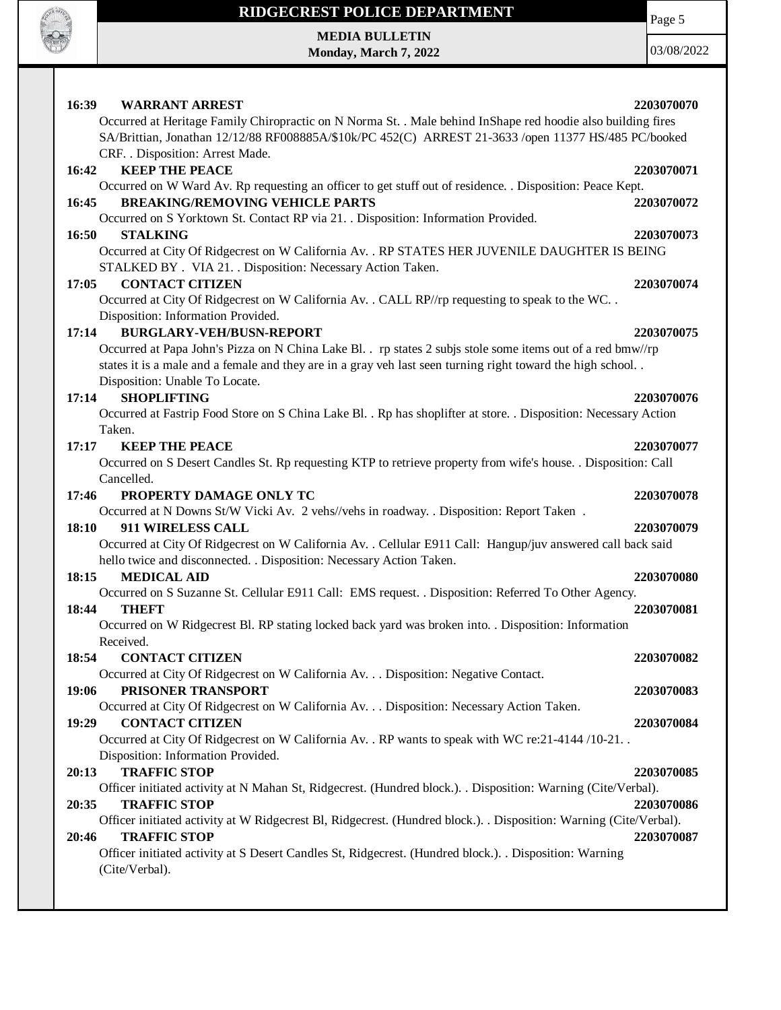

# **RIDGECREST POLICE DEPARTMENT MEDIA BULLETIN**

**Monday, March 7, 2022**

Page 5

| 16:39<br><b>WARRANT ARREST</b>                                                                                                                               | 2203070070 |
|--------------------------------------------------------------------------------------------------------------------------------------------------------------|------------|
| Occurred at Heritage Family Chiropractic on N Norma St. . Male behind InShape red hoodie also building fires                                                 |            |
| SA/Brittian, Jonathan 12/12/88 RF008885A/\$10k/PC 452(C) ARREST 21-3633 /open 11377 HS/485 PC/booked                                                         |            |
| CRF. . Disposition: Arrest Made.                                                                                                                             |            |
| <b>KEEP THE PEACE</b><br>16:42                                                                                                                               | 2203070071 |
| Occurred on W Ward Av. Rp requesting an officer to get stuff out of residence. . Disposition: Peace Kept.                                                    |            |
| <b>BREAKING/REMOVING VEHICLE PARTS</b><br>16:45                                                                                                              | 2203070072 |
| Occurred on S Yorktown St. Contact RP via 21. . Disposition: Information Provided.                                                                           |            |
| 16:50<br><b>STALKING</b>                                                                                                                                     | 2203070073 |
|                                                                                                                                                              |            |
| Occurred at City Of Ridgecrest on W California Av. . RP STATES HER JUVENILE DAUGHTER IS BEING<br>STALKED BY . VIA 21. . Disposition: Necessary Action Taken. |            |
|                                                                                                                                                              |            |
| <b>CONTACT CITIZEN</b><br>17:05                                                                                                                              | 2203070074 |
| Occurred at City Of Ridgecrest on W California Av. . CALL RP//rp requesting to speak to the WC. .                                                            |            |
| Disposition: Information Provided.                                                                                                                           |            |
| <b>BURGLARY-VEH/BUSN-REPORT</b><br>17:14                                                                                                                     | 2203070075 |
| Occurred at Papa John's Pizza on N China Lake Bl. . rp states 2 subjs stole some items out of a red bmw//rp                                                  |            |
| states it is a male and a female and they are in a gray veh last seen turning right toward the high school                                                   |            |
| Disposition: Unable To Locate.                                                                                                                               |            |
| <b>SHOPLIFTING</b><br>17:14                                                                                                                                  | 2203070076 |
| Occurred at Fastrip Food Store on S China Lake Bl. . Rp has shoplifter at store. . Disposition: Necessary Action                                             |            |
| Taken.                                                                                                                                                       |            |
| 17:17<br><b>KEEP THE PEACE</b>                                                                                                                               | 2203070077 |
| Occurred on S Desert Candles St. Rp requesting KTP to retrieve property from wife's house. . Disposition: Call                                               |            |
| Cancelled.                                                                                                                                                   |            |
| PROPERTY DAMAGE ONLY TC<br>17:46                                                                                                                             | 2203070078 |
| Occurred at N Downs St/W Vicki Av. 2 vehs//vehs in roadway. . Disposition: Report Taken.                                                                     |            |
| <b>911 WIRELESS CALL</b><br>18:10                                                                                                                            | 2203070079 |
| Occurred at City Of Ridgecrest on W California Av. . Cellular E911 Call: Hangup/juv answered call back said                                                  |            |
| hello twice and disconnected. . Disposition: Necessary Action Taken.                                                                                         |            |
| <b>MEDICAL AID</b><br>18:15                                                                                                                                  | 2203070080 |
| Occurred on S Suzanne St. Cellular E911 Call: EMS request. . Disposition: Referred To Other Agency.                                                          |            |
| 18:44<br><b>THEFT</b>                                                                                                                                        | 2203070081 |
| Occurred on W Ridgecrest Bl. RP stating locked back yard was broken into. . Disposition: Information                                                         |            |
| Received.                                                                                                                                                    |            |
| 18:54<br><b>CONTACT CITIZEN</b>                                                                                                                              | 2203070082 |
| Occurred at City Of Ridgecrest on W California Av. Disposition: Negative Contact.                                                                            |            |
| PRISONER TRANSPORT<br>19:06                                                                                                                                  | 2203070083 |
| Occurred at City Of Ridgecrest on W California Av. Disposition: Necessary Action Taken.                                                                      |            |
| <b>CONTACT CITIZEN</b><br>19:29                                                                                                                              | 2203070084 |
| Occurred at City Of Ridgecrest on W California Av. . RP wants to speak with WC re: 21-4144 /10-21. .                                                         |            |
| Disposition: Information Provided.                                                                                                                           |            |
| <b>TRAFFIC STOP</b><br>20:13                                                                                                                                 | 2203070085 |
| Officer initiated activity at N Mahan St, Ridgecrest. (Hundred block.). . Disposition: Warning (Cite/Verbal).                                                |            |
| <b>TRAFFIC STOP</b><br>20:35                                                                                                                                 | 2203070086 |
| Officer initiated activity at W Ridgecrest Bl, Ridgecrest. (Hundred block.). . Disposition: Warning (Cite/Verbal).                                           |            |
| <b>TRAFFIC STOP</b><br>20:46                                                                                                                                 | 2203070087 |
| Officer initiated activity at S Desert Candles St, Ridgecrest. (Hundred block.). Disposition: Warning                                                        |            |
| (Cite/Verbal).                                                                                                                                               |            |
|                                                                                                                                                              |            |
|                                                                                                                                                              |            |